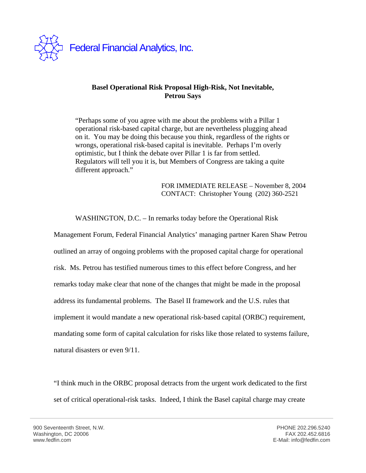

## **Basel Operational Risk Proposal High-Risk, Not Inevitable, Petrou Says**

"Perhaps some of you agree with me about the problems with a Pillar 1 operational risk-based capital charge, but are nevertheless plugging ahead on it. You may be doing this because you think, regardless of the rights or wrongs, operational risk-based capital is inevitable. Perhaps I'm overly optimistic, but I think the debate over Pillar 1 is far from settled. Regulators will tell you it is, but Members of Congress are taking a quite different approach."

> FOR IMMEDIATE RELEASE – November 8, 2004 CONTACT: Christopher Young (202) 360-2521

WASHINGTON, D.C. – In remarks today before the Operational Risk

Management Forum, Federal Financial Analytics' managing partner Karen Shaw Petrou outlined an array of ongoing problems with the proposed capital charge for operational risk. Ms. Petrou has testified numerous times to this effect before Congress, and her remarks today make clear that none of the changes that might be made in the proposal address its fundamental problems. The Basel II framework and the U.S. rules that implement it would mandate a new operational risk-based capital (ORBC) requirement, mandating some form of capital calculation for risks like those related to systems failure, natural disasters or even 9/11.

"I think much in the ORBC proposal detracts from the urgent work dedicated to the first set of critical operational-risk tasks. Indeed, I think the Basel capital charge may create